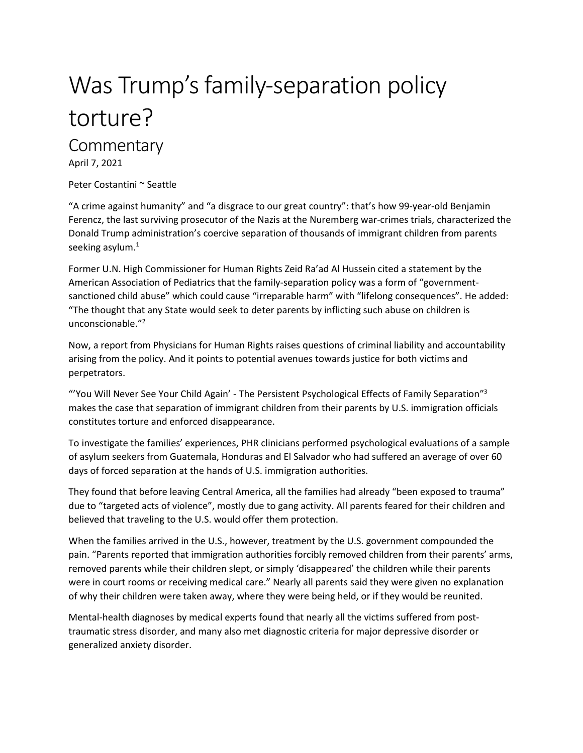# Was Trump's family-separation policy torture?

# **Commentary**

April 7, 2021

Peter Costantini ~ Seattle

"A crime against humanity" and "a disgrace to our great country": that's how 99-year-old Benjamin Ferencz, the last surviving prosecutor of the Nazis at the Nuremberg war-crimes trials, characterized the Donald Trump administration's coercive separation of thousands of immigrant children from parents seeking asylum. $^1$ 

Former U.N. High Commissioner for Human Rights Zeid Ra'ad Al Hussein cited a statement by the American Association of Pediatrics that the family-separation policy was a form of "governmentsanctioned child abuse" which could cause "irreparable harm" with "lifelong consequences". He added: "The thought that any State would seek to deter parents by inflicting such abuse on children is unconscionable." 2

Now, a report from Physicians for Human Rights raises questions of criminal liability and accountability arising from the policy. And it points to potential avenues towards justice for both victims and perpetrators.

"'You Will Never See Your Child Again' - The Persistent Psychological Effects of Family Separation"<sup>3</sup> makes the case that separation of immigrant children from their parents by U.S. immigration officials constitutes torture and enforced disappearance.

To investigate the families' experiences, PHR clinicians performed psychological evaluations of a sample of asylum seekers from Guatemala, Honduras and El Salvador who had suffered an average of over 60 days of forced separation at the hands of U.S. immigration authorities.

They found that before leaving Central America, all the families had already "been exposed to trauma" due to "targeted acts of violence", mostly due to gang activity. All parents feared for their children and believed that traveling to the U.S. would offer them protection.

When the families arrived in the U.S., however, treatment by the U.S. government compounded the pain. "Parents reported that immigration authorities forcibly removed children from their parents' arms, removed parents while their children slept, or simply 'disappeared' the children while their parents were in court rooms or receiving medical care." Nearly all parents said they were given no explanation of why their children were taken away, where they were being held, or if they would be reunited.

Mental-health diagnoses by medical experts found that nearly all the victims suffered from posttraumatic stress disorder, and many also met diagnostic criteria for major depressive disorder or generalized anxiety disorder.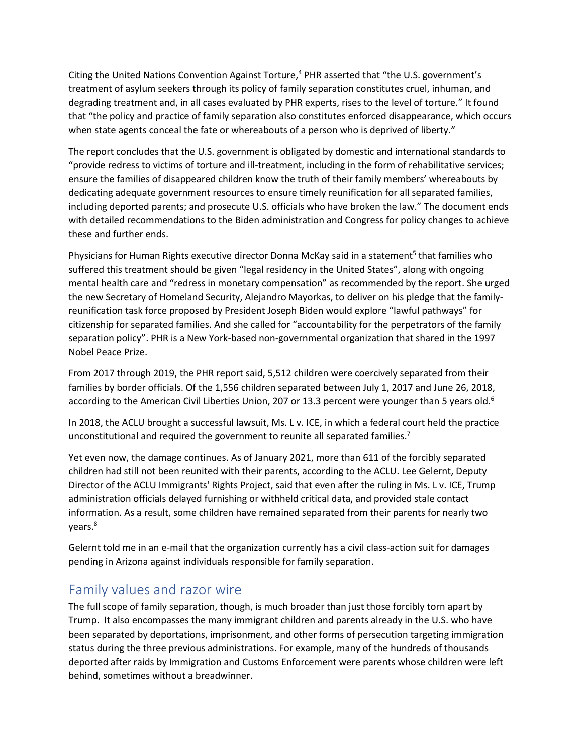Citing the United Nations Convention Against Torture, $4$  PHR asserted that "the U.S. government's treatment of asylum seekers through its policy of family separation constitutes cruel, inhuman, and degrading treatment and, in all cases evaluated by PHR experts, rises to the level of torture." It found that "the policy and practice of family separation also constitutes enforced disappearance, which occurs when state agents conceal the fate or whereabouts of a person who is deprived of liberty."

The report concludes that the U.S. government is obligated by domestic and international standards to "provide redress to victims of torture and ill-treatment, including in the form of rehabilitative services; ensure the families of disappeared children know the truth of their family members' whereabouts by dedicating adequate government resources to ensure timely reunification for all separated families, including deported parents; and prosecute U.S. officials who have broken the law." The document ends with detailed recommendations to the Biden administration and Congress for policy changes to achieve these and further ends.

Physicians for Human Rights executive director Donna McKay said in a statement<sup>5</sup> that families who suffered this treatment should be given "legal residency in the United States", along with ongoing mental health care and "redress in monetary compensation" as recommended by the report. She urged the new Secretary of Homeland Security, Alejandro Mayorkas, to deliver on his pledge that the familyreunification task force proposed by President Joseph Biden would explore "lawful pathways" for citizenship for separated families. And she called for "accountability for the perpetrators of the family separation policy". PHR is a New York-based non-governmental organization that shared in the 1997 Nobel Peace Prize.

From 2017 through 2019, the PHR report said, 5,512 children were coercively separated from their families by border officials. Of the 1,556 children separated between July 1, 2017 and June 26, 2018, according to the American Civil Liberties Union, 207 or 13.3 percent were younger than 5 years old.<sup>6</sup>

In 2018, the ACLU brought a successful lawsuit, Ms. L v. ICE, in which a federal court held the practice unconstitutional and required the government to reunite all separated families.<sup>7</sup>

Yet even now, the damage continues. As of January 2021, more than 611 of the forcibly separated children had still not been reunited with their parents, according to the ACLU. Lee Gelernt, Deputy Director of the ACLU Immigrants' Rights Project, said that even after the ruling in Ms. L v. ICE, Trump administration officials delayed furnishing or withheld critical data, and provided stale contact information. As a result, some children have remained separated from their parents for nearly two years.<sup>8</sup>

Gelernt told me in an e-mail that the organization currently has a civil class-action suit for damages pending in Arizona against individuals responsible for family separation.

## Family values and razor wire

The full scope of family separation, though, is much broader than just those forcibly torn apart by Trump. It also encompasses the many immigrant children and parents already in the U.S. who have been separated by deportations, imprisonment, and other forms of persecution targeting immigration status during the three previous administrations. For example, many of the hundreds of thousands deported after raids by Immigration and Customs Enforcement were parents whose children were left behind, sometimes without a breadwinner.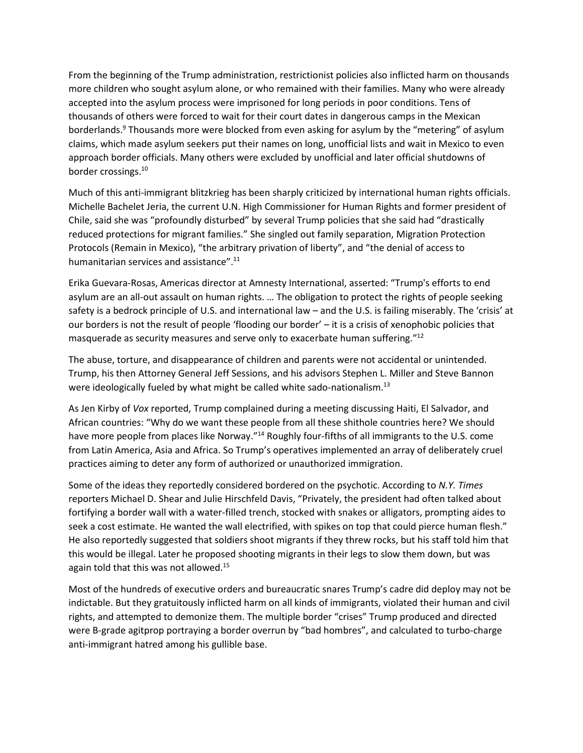From the beginning of the Trump administration, restrictionist policies also inflicted harm on thousands more children who sought asylum alone, or who remained with their families. Many who were already accepted into the asylum process were imprisoned for long periods in poor conditions. Tens of thousands of others were forced to wait for their court dates in dangerous camps in the Mexican borderlands.<sup>9</sup> Thousands more were blocked from even asking for asylum by the "metering" of asylum claims, which made asylum seekers put their names on long, unofficial lists and wait in Mexico to even approach border officials. Many others were excluded by unofficial and later official shutdowns of border crossings.<sup>10</sup>

Much of this anti-immigrant blitzkrieg has been sharply criticized by international human rights officials. Michelle Bachelet Jeria, the current U.N. High Commissioner for Human Rights and former president of Chile, said she was "profoundly disturbed" by several Trump policies that she said had "drastically reduced protections for migrant families." She singled out family separation, Migration Protection Protocols (Remain in Mexico), "the arbitrary privation of liberty", and "the denial of access to humanitarian services and assistance".<sup>11</sup>

Erika Guevara-Rosas, Americas director at Amnesty International, asserted: "Trump's efforts to end asylum are an all-out assault on human rights. … The obligation to protect the rights of people seeking safety is a bedrock principle of U.S. and international law – and the U.S. is failing miserably. The 'crisis' at our borders is not the result of people 'flooding our border' – it is a crisis of xenophobic policies that masquerade as security measures and serve only to exacerbate human suffering."<sup>12</sup>

The abuse, torture, and disappearance of children and parents were not accidental or unintended. Trump, his then Attorney General Jeff Sessions, and his advisors Stephen L. Miller and Steve Bannon were ideologically fueled by what might be called white sado-nationalism.<sup>13</sup>

As Jen Kirby of *Vox* reported, Trump complained during a meeting discussing Haiti, El Salvador, and African countries: "Why do we want these people from all these shithole countries here? We should have more people from places like Norway."<sup>14</sup> Roughly four-fifths of all immigrants to the U.S. come from Latin America, Asia and Africa. So Trump's operatives implemented an array of deliberately cruel practices aiming to deter any form of authorized or unauthorized immigration.

Some of the ideas they reportedly considered bordered on the psychotic. According to *N.Y. Times* reporters Michael D. Shear and Julie Hirschfeld Davis, "Privately, the president had often talked about fortifying a border wall with a water-filled trench, stocked with snakes or alligators, prompting aides to seek a cost estimate. He wanted the wall electrified, with spikes on top that could pierce human flesh." He also reportedly suggested that soldiers shoot migrants if they threw rocks, but his staff told him that this would be illegal. Later he proposed shooting migrants in their legs to slow them down, but was again told that this was not allowed.<sup>15</sup>

Most of the hundreds of executive orders and bureaucratic snares Trump's cadre did deploy may not be indictable. But they gratuitously inflicted harm on all kinds of immigrants, violated their human and civil rights, and attempted to demonize them. The multiple border "crises" Trump produced and directed were B-grade agitprop portraying a border overrun by "bad hombres", and calculated to turbo-charge anti-immigrant hatred among his gullible base.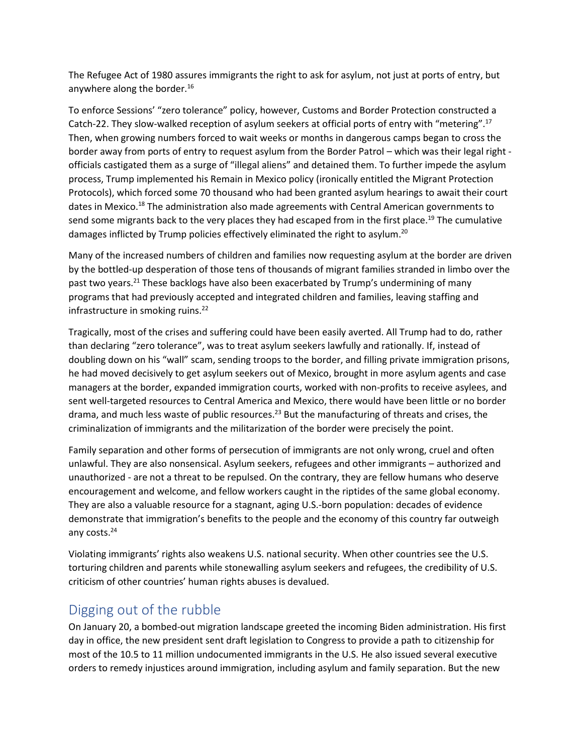The Refugee Act of 1980 assures immigrants the right to ask for asylum, not just at ports of entry, but anywhere along the border.<sup>16</sup>

To enforce Sessions' "zero tolerance" policy, however, Customs and Border Protection constructed a Catch-22. They slow-walked reception of asylum seekers at official ports of entry with "metering".<sup>17</sup> Then, when growing numbers forced to wait weeks or months in dangerous camps began to cross the border away from ports of entry to request asylum from the Border Patrol – which was their legal right officials castigated them as a surge of "illegal aliens" and detained them. To further impede the asylum process, Trump implemented his Remain in Mexico policy (ironically entitled the Migrant Protection Protocols), which forced some 70 thousand who had been granted asylum hearings to await their court dates in Mexico.<sup>18</sup> The administration also made agreements with Central American governments to send some migrants back to the very places they had escaped from in the first place.<sup>19</sup> The cumulative damages inflicted by Trump policies effectively eliminated the right to asylum.<sup>20</sup>

Many of the increased numbers of children and families now requesting asylum at the border are driven by the bottled-up desperation of those tens of thousands of migrant families stranded in limbo over the past two vears.<sup>21</sup> These backlogs have also been exacerbated by Trump's undermining of many programs that had previously accepted and integrated children and families, leaving staffing and infrastructure in smoking ruins. $^{22}$ 

Tragically, most of the crises and suffering could have been easily averted. All Trump had to do, rather than declaring "zero tolerance", was to treat asylum seekers lawfully and rationally. If, instead of doubling down on his "wall" scam, sending troops to the border, and filling private immigration prisons, he had moved decisively to get asylum seekers out of Mexico, brought in more asylum agents and case managers at the border, expanded immigration courts, worked with non-profits to receive asylees, and sent well-targeted resources to Central America and Mexico, there would have been little or no border drama, and much less waste of public resources.<sup>23</sup> But the manufacturing of threats and crises, the criminalization of immigrants and the militarization of the border were precisely the point.

Family separation and other forms of persecution of immigrants are not only wrong, cruel and often unlawful. They are also nonsensical. Asylum seekers, refugees and other immigrants – authorized and unauthorized - are not a threat to be repulsed. On the contrary, they are fellow humans who deserve encouragement and welcome, and fellow workers caught in the riptides of the same global economy. They are also a valuable resource for a stagnant, aging U.S.-born population: decades of evidence demonstrate that immigration's benefits to the people and the economy of this country far outweigh any costs. 24

Violating immigrants' rights also weakens U.S. national security. When other countries see the U.S. torturing children and parents while stonewalling asylum seekers and refugees, the credibility of U.S. criticism of other countries' human rights abuses is devalued.

### Digging out of the rubble

On January 20, a bombed-out migration landscape greeted the incoming Biden administration. His first day in office, the new president sent draft legislation to Congress to provide a path to citizenship for most of the 10.5 to 11 million undocumented immigrants in the U.S. He also issued several executive orders to remedy injustices around immigration, including asylum and family separation. But the new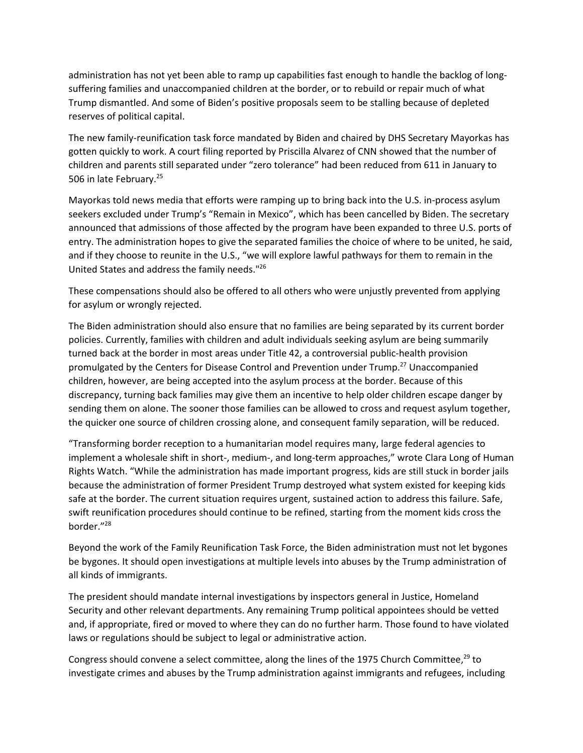administration has not yet been able to ramp up capabilities fast enough to handle the backlog of longsuffering families and unaccompanied children at the border, or to rebuild or repair much of what Trump dismantled. And some of Biden's positive proposals seem to be stalling because of depleted reserves of political capital.

The new family-reunification task force mandated by Biden and chaired by DHS Secretary Mayorkas has gotten quickly to work. A court filing reported by Priscilla Alvarez of CNN showed that the number of children and parents still separated under "zero tolerance" had been reduced from 611 in January to 506 in late February.<sup>25</sup>

Mayorkas told news media that efforts were ramping up to bring back into the U.S. in-process asylum seekers excluded under Trump's "Remain in Mexico", which has been cancelled by Biden. The secretary announced that admissions of those affected by the program have been expanded to three U.S. ports of entry. The administration hopes to give the separated families the choice of where to be united, he said, and if they choose to reunite in the U.S., "we will explore lawful pathways for them to remain in the United States and address the family needs." 26

These compensations should also be offered to all others who were unjustly prevented from applying for asylum or wrongly rejected.

The Biden administration should also ensure that no families are being separated by its current border policies. Currently, families with children and adult individuals seeking asylum are being summarily turned back at the border in most areas under Title 42, a controversial public-health provision promulgated by the Centers for Disease Control and Prevention under Trump.<sup>27</sup> Unaccompanied children, however, are being accepted into the asylum process at the border. Because of this discrepancy, turning back families may give them an incentive to help older children escape danger by sending them on alone. The sooner those families can be allowed to cross and request asylum together, the quicker one source of children crossing alone, and consequent family separation, will be reduced.

"Transforming border reception to a humanitarian model requires many, large federal agencies to implement a wholesale shift in short-, medium-, and long-term approaches," wrote Clara Long of Human Rights Watch. "While the administration has made important progress, kids are still stuck in border jails because the administration of former President Trump destroyed what system existed for keeping kids safe at the border. The current situation requires urgent, sustained action to address this failure. Safe, swift reunification procedures should continue to be refined, starting from the moment kids cross the border." 28

Beyond the work of the Family Reunification Task Force, the Biden administration must not let bygones be bygones. It should open investigations at multiple levels into abuses by the Trump administration of all kinds of immigrants.

The president should mandate internal investigations by inspectors general in Justice, Homeland Security and other relevant departments. Any remaining Trump political appointees should be vetted and, if appropriate, fired or moved to where they can do no further harm. Those found to have violated laws or regulations should be subject to legal or administrative action.

Congress should convene a select committee, along the lines of the 1975 Church Committee,<sup>29</sup> to investigate crimes and abuses by the Trump administration against immigrants and refugees, including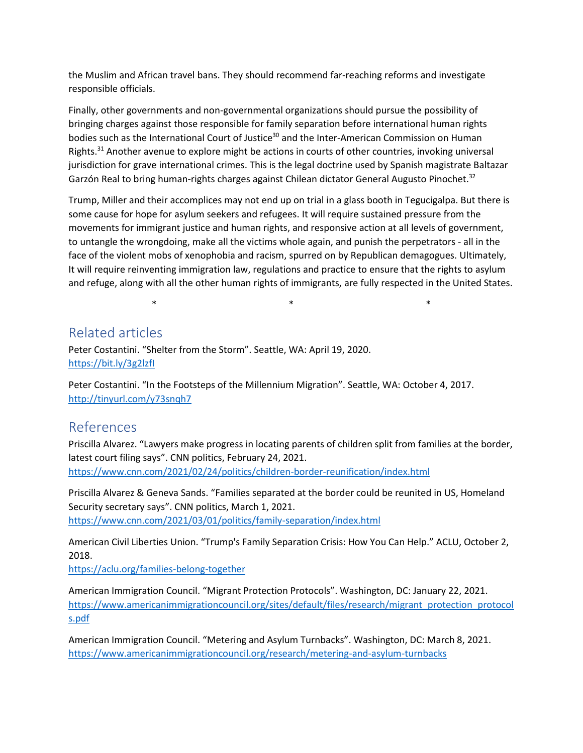the Muslim and African travel bans. They should recommend far-reaching reforms and investigate responsible officials.

Finally, other governments and non-governmental organizations should pursue the possibility of bringing charges against those responsible for family separation before international human rights bodies such as the International Court of Justice<sup>30</sup> and the Inter-American Commission on Human Rights.<sup>31</sup> Another avenue to explore might be actions in courts of other countries, invoking universal jurisdiction for grave international crimes. This is the legal doctrine used by Spanish magistrate Baltazar Garzón Real to bring human-rights charges against Chilean dictator General Augusto Pinochet.<sup>32</sup>

Trump, Miller and their accomplices may not end up on trial in a glass booth in Tegucigalpa. But there is some cause for hope for asylum seekers and refugees. It will require sustained pressure from the movements for immigrant justice and human rights, and responsive action at all levels of government, to untangle the wrongdoing, make all the victims whole again, and punish the perpetrators - all in the face of the violent mobs of xenophobia and racism, spurred on by Republican demagogues. Ultimately, It will require reinventing immigration law, regulations and practice to ensure that the rights to asylum and refuge, along with all the other human rights of immigrants, are fully respected in the United States.

 $\ast$   $\ast$   $\ast$ 

#### Related articles

Peter Costantini. "Shelter from the Storm". Seattle, WA: April 19, 2020. <https://bit.ly/3g2lzfI>

Peter Costantini. "In the Footsteps of the Millennium Migration". Seattle, WA: October 4, 2017. <http://tinyurl.com/y73snqh7>

#### References

Priscilla Alvarez. "Lawyers make progress in locating parents of children split from families at the border, latest court filing says". CNN politics, February 24, 2021. <https://www.cnn.com/2021/02/24/politics/children-border-reunification/index.html>

Priscilla Alvarez & Geneva Sands. "Families separated at the border could be reunited in US, Homeland Security secretary says". CNN politics, March 1, 2021. <https://www.cnn.com/2021/03/01/politics/family-separation/index.html>

American Civil Liberties Union. "Trump's Family Separation Crisis: How You Can Help." ACLU, October 2, 2018.

<https://aclu.org/families-belong-together>

American Immigration Council. "Migrant Protection Protocols". Washington, DC: January 22, 2021. [https://www.americanimmigrationcouncil.org/sites/default/files/research/migrant\\_protection\\_protocol](https://www.americanimmigrationcouncil.org/sites/default/files/research/migrant_protection_protocols.pdf) [s.pdf](https://www.americanimmigrationcouncil.org/sites/default/files/research/migrant_protection_protocols.pdf)

American Immigration Council. "Metering and Asylum Turnbacks". Washington, DC: March 8, 2021. <https://www.americanimmigrationcouncil.org/research/metering-and-asylum-turnbacks>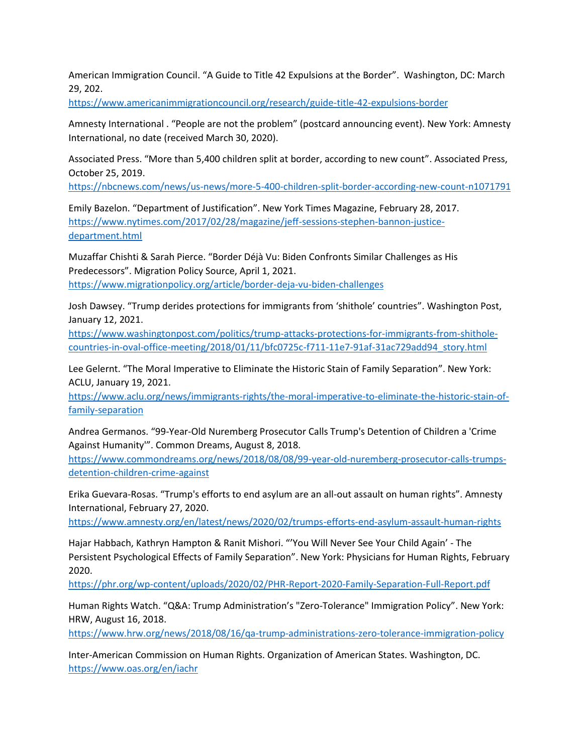American Immigration Council. "A Guide to Title 42 Expulsions at the Border". Washington, DC: March 29, 202.

<https://www.americanimmigrationcouncil.org/research/guide-title-42-expulsions-border>

Amnesty International . "People are not the problem" (postcard announcing event). New York: Amnesty International, no date (received March 30, 2020).

Associated Press. "More than 5,400 children split at border, according to new count". Associated Press, October 25, 2019.

<https://nbcnews.com/news/us-news/more-5-400-children-split-border-according-new-count-n1071791>

Emily Bazelon. "Department of Justification". New York Times Magazine, February 28, 2017. [https://www.nytimes.com/2017/02/28/magazine/jeff-sessions-stephen-bannon-justice](https://www.nytimes.com/2017/02/28/magazine/jeff-sessions-stephen-bannon-justice-department.html)[department.html](https://www.nytimes.com/2017/02/28/magazine/jeff-sessions-stephen-bannon-justice-department.html)

Muzaffar Chishti & Sarah Pierce. "Border Déjà Vu: Biden Confronts Similar Challenges as His Predecessors". Migration Policy Source, April 1, 2021. <https://www.migrationpolicy.org/article/border-deja-vu-biden-challenges>

Josh Dawsey. "Trump derides protections for immigrants from 'shithole' countries". Washington Post, January 12, 2021.

[https://www.washingtonpost.com/politics/trump-attacks-protections-for-immigrants-from-shithole](https://www.washingtonpost.com/politics/trump-attacks-protections-for-immigrants-from-shithole-countries-in-oval-office-meeting/2018/01/11/bfc0725c-f711-11e7-91af-31ac729add94_story.html)[countries-in-oval-office-meeting/2018/01/11/bfc0725c-f711-11e7-91af-31ac729add94\\_story.html](https://www.washingtonpost.com/politics/trump-attacks-protections-for-immigrants-from-shithole-countries-in-oval-office-meeting/2018/01/11/bfc0725c-f711-11e7-91af-31ac729add94_story.html)

Lee Gelernt. "The Moral Imperative to Eliminate the Historic Stain of Family Separation". New York: ACLU, January 19, 2021.

[https://www.aclu.org/news/immigrants-rights/the-moral-imperative-to-eliminate-the-historic-stain-of](https://www.aclu.org/news/immigrants-rights/the-moral-imperative-to-eliminate-the-historic-stain-of-family-separation)[family-separation](https://www.aclu.org/news/immigrants-rights/the-moral-imperative-to-eliminate-the-historic-stain-of-family-separation)

Andrea Germanos. "99-Year-Old Nuremberg Prosecutor Calls Trump's Detention of Children a 'Crime Against Humanity'". Common Dreams, August 8, 2018.

[https://www.commondreams.org/news/2018/08/08/99-year-old-nuremberg-prosecutor-calls-trumps](https://www.commondreams.org/news/2018/08/08/99-year-old-nuremberg-prosecutor-calls-trumps-detention-children-crime-against)[detention-children-crime-against](https://www.commondreams.org/news/2018/08/08/99-year-old-nuremberg-prosecutor-calls-trumps-detention-children-crime-against)

Erika Guevara-Rosas. "Trump's efforts to end asylum are an all-out assault on human rights". Amnesty International, February 27, 2020.

<https://www.amnesty.org/en/latest/news/2020/02/trumps-efforts-end-asylum-assault-human-rights>

Hajar Habbach, Kathryn Hampton & Ranit Mishori. "'You Will Never See Your Child Again' - The Persistent Psychological Effects of Family Separation". New York: Physicians for Human Rights, February 2020.

<https://phr.org/wp-content/uploads/2020/02/PHR-Report-2020-Family-Separation-Full-Report.pdf>

Human Rights Watch. "Q&A: Trump Administration's "Zero-Tolerance" Immigration Policy". New York: HRW, August 16, 2018.

<https://www.hrw.org/news/2018/08/16/qa-trump-administrations-zero-tolerance-immigration-policy>

Inter-American Commission on Human Rights. Organization of American States. Washington, DC. <https://www.oas.org/en/iachr>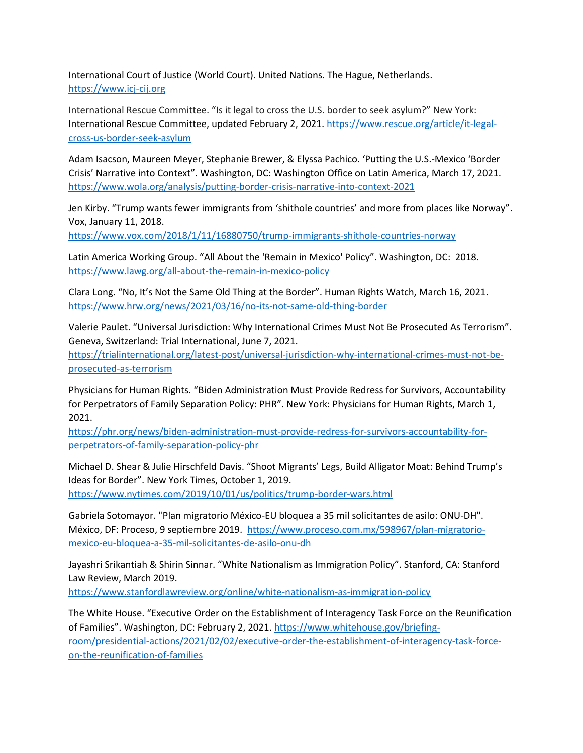International Court of Justice (World Court). United Nations. The Hague, Netherlands. [https://www.icj-cij.org](https://www.icj-cij.org/)

International Rescue Committee. "Is it legal to cross the U.S. border to seek asylum?" New York: International Rescue Committee, updated February 2, 2021. [https://www.rescue.org/article/it-legal](https://www.rescue.org/article/it-legal-cross-us-border-seek-asylum)[cross-us-border-seek-asylum](https://www.rescue.org/article/it-legal-cross-us-border-seek-asylum)

Adam Isacson, Maureen Meyer, Stephanie Brewer, & Elyssa Pachico. 'Putting the U.S.-Mexico 'Border Crisis' Narrative into Context". Washington, DC: Washington Office on Latin America, March 17, 2021. <https://www.wola.org/analysis/putting-border-crisis-narrative-into-context-2021>

Jen Kirby. "Trump wants fewer immigrants from 'shithole countries' and more from places like Norway". Vox, January 11, 2018.

<https://www.vox.com/2018/1/11/16880750/trump-immigrants-shithole-countries-norway>

Latin America Working Group. "All About the 'Remain in Mexico' Policy". Washington, DC: 2018. <https://www.lawg.org/all-about-the-remain-in-mexico-policy>

Clara Long. "No, It's Not the Same Old Thing at the Border". Human Rights Watch, March 16, 2021. <https://www.hrw.org/news/2021/03/16/no-its-not-same-old-thing-border>

Valerie Paulet. "Universal Jurisdiction: Why International Crimes Must Not Be Prosecuted As Terrorism". Geneva, Switzerland: Trial International, June 7, 2021.

[https://trialinternational.org/latest-post/universal-jurisdiction-why-international-crimes-must-not-be](https://trialinternational.org/latest-post/universal-jurisdiction-why-international-crimes-must-not-be-prosecuted-as-terrorism)[prosecuted-as-terrorism](https://trialinternational.org/latest-post/universal-jurisdiction-why-international-crimes-must-not-be-prosecuted-as-terrorism)

Physicians for Human Rights. "Biden Administration Must Provide Redress for Survivors, Accountability for Perpetrators of Family Separation Policy: PHR". New York: Physicians for Human Rights, March 1, 2021.

[https://phr.org/news/biden-administration-must-provide-redress-for-survivors-accountability-for](https://phr.org/news/biden-administration-must-provide-redress-for-survivors-accountability-for-perpetrators-of-family-separation-policy-phr)[perpetrators-of-family-separation-policy-phr](https://phr.org/news/biden-administration-must-provide-redress-for-survivors-accountability-for-perpetrators-of-family-separation-policy-phr)

Michael D. Shear & Julie Hirschfeld Davis. "Shoot Migrants' Legs, Build Alligator Moat: Behind Trump's Ideas for Border". New York Times, October 1, 2019.

<https://www.nytimes.com/2019/10/01/us/politics/trump-border-wars.html>

Gabriela Sotomayor. "Plan migratorio México-EU bloquea a 35 mil solicitantes de asilo: ONU-DH". México, DF: Proceso, 9 septiembre 2019. [https://www.proceso.com.mx/598967/plan-migratorio](https://www.proceso.com.mx/598967/plan-migratorio-mexico-eu-bloquea-a-35-mil-solicitantes-de-asilo-onu-dh)[mexico-eu-bloquea-a-35-mil-solicitantes-de-asilo-onu-dh](https://www.proceso.com.mx/598967/plan-migratorio-mexico-eu-bloquea-a-35-mil-solicitantes-de-asilo-onu-dh)

Jayashri Srikantiah & Shirin Sinnar. "White Nationalism as Immigration Policy". Stanford, CA: Stanford Law Review, March 2019.

<https://www.stanfordlawreview.org/online/white-nationalism-as-immigration-policy>

The White House. "Executive Order on the Establishment of Interagency Task Force on the Reunification of Families". Washington, DC: February 2, 2021. [https://www.whitehouse.gov/briefing](https://www.whitehouse.gov/briefing-room/presidential-actions/2021/02/02/executive-order-the-establishment-of-interagency-task-force-on-the-reunification-of-families)[room/presidential-actions/2021/02/02/executive-order-the-establishment-of-interagency-task-force](https://www.whitehouse.gov/briefing-room/presidential-actions/2021/02/02/executive-order-the-establishment-of-interagency-task-force-on-the-reunification-of-families)[on-the-reunification-of-families](https://www.whitehouse.gov/briefing-room/presidential-actions/2021/02/02/executive-order-the-establishment-of-interagency-task-force-on-the-reunification-of-families)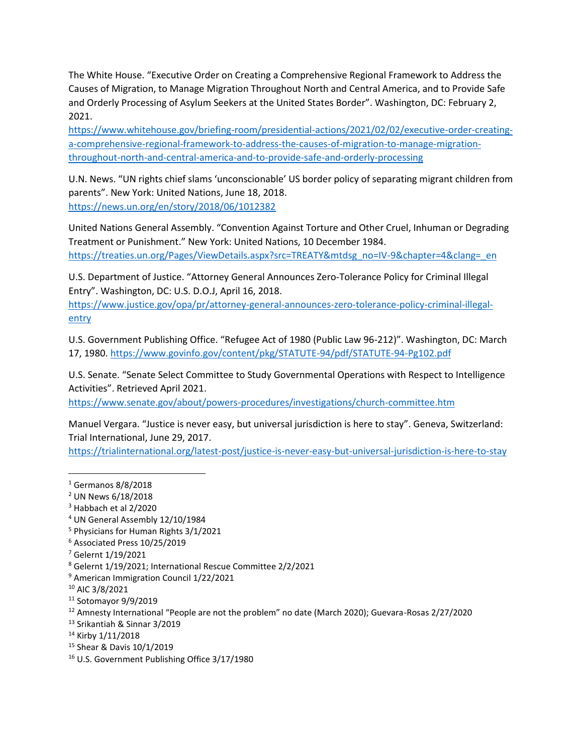The White House. "Executive Order on Creating a Comprehensive Regional Framework to Address the Causes of Migration, to Manage Migration Throughout North and Central America, and to Provide Safe and Orderly Processing of Asylum Seekers at the United States Border". Washington, DC: February 2, 2021.

[https://www.whitehouse.gov/briefing-room/presidential-actions/2021/02/02/executive-order-creating](https://www.whitehouse.gov/briefing-room/presidential-actions/2021/02/02/executive-order-creating-a-comprehensive-regional-framework-to-address-the-causes-of-migration-to-manage-migration-throughout-north-and-central-america-and-to-provide-safe-and-orderly-processing)[a-comprehensive-regional-framework-to-address-the-causes-of-migration-to-manage-migration](https://www.whitehouse.gov/briefing-room/presidential-actions/2021/02/02/executive-order-creating-a-comprehensive-regional-framework-to-address-the-causes-of-migration-to-manage-migration-throughout-north-and-central-america-and-to-provide-safe-and-orderly-processing)[throughout-north-and-central-america-and-to-provide-safe-and-orderly-processing](https://www.whitehouse.gov/briefing-room/presidential-actions/2021/02/02/executive-order-creating-a-comprehensive-regional-framework-to-address-the-causes-of-migration-to-manage-migration-throughout-north-and-central-america-and-to-provide-safe-and-orderly-processing)

U.N. News. "UN rights chief slams 'unconscionable' US border policy of separating migrant children from parents". New York: United Nations, June 18, 2018. <https://news.un.org/en/story/2018/06/1012382>

United Nations General Assembly. "Convention Against Torture and Other Cruel, Inhuman or Degrading Treatment or Punishment." New York: United Nations, 10 December 1984. [https://treaties.un.org/Pages/ViewDetails.aspx?src=TREATY&mtdsg\\_no=IV-9&chapter=4&clang=\\_en](https://treaties.un.org/Pages/ViewDetails.aspx?src=TREATY&mtdsg_no=IV-9&chapter=4&clang=_en)

U.S. Department of Justice. "Attorney General Announces Zero-Tolerance Policy for Criminal Illegal Entry". Washington, DC: U.S. D.O.J, April 16, 2018.

[https://www.justice.gov/opa/pr/attorney-general-announces-zero-tolerance-policy-criminal-illegal](https://www.justice.gov/opa/pr/attorney-general-announces-zero-tolerance-policy-criminal-illegal-entry)[entry](https://www.justice.gov/opa/pr/attorney-general-announces-zero-tolerance-policy-criminal-illegal-entry)

U.S. Government Publishing Office. "Refugee Act of 1980 (Public Law 96-212)". Washington, DC: March 17, 1980.<https://www.govinfo.gov/content/pkg/STATUTE-94/pdf/STATUTE-94-Pg102.pdf>

U.S. Senate. "Senate Select Committee to Study Governmental Operations with Respect to Intelligence Activities". Retrieved April 2021.

<https://www.senate.gov/about/powers-procedures/investigations/church-committee.htm>

Manuel Vergara. "Justice is never easy, but universal jurisdiction is here to stay". Geneva, Switzerland: Trial International, June 29, 2017.

<https://trialinternational.org/latest-post/justice-is-never-easy-but-universal-jurisdiction-is-here-to-stay>

- <sup>4</sup> UN General Assembly 12/10/1984
- <sup>5</sup> Physicians for Human Rights 3/1/2021
- <sup>6</sup> Associated Press 10/25/2019

- <sup>8</sup> Gelernt 1/19/2021; International Rescue Committee 2/2/2021
- <sup>9</sup> American Immigration Council 1/22/2021
- <sup>10</sup> AIC 3/8/2021
- <sup>11</sup> Sotomayor 9/9/2019

<sup>12</sup> Amnesty International "People are not the problem" no date (March 2020); Guevara-Rosas 2/27/2020

- <sup>13</sup> Srikantiah & Sinnar 3/2019
- <sup>14</sup> Kirby 1/11/2018
- <sup>15</sup> Shear & Davis 10/1/2019
- <sup>16</sup> U.S. Government Publishing Office 3/17/1980

<sup>1</sup> Germanos 8/8/2018

<sup>2</sup> UN News 6/18/2018

<sup>3</sup> Habbach et al 2/2020

<sup>7</sup> Gelernt 1/19/2021